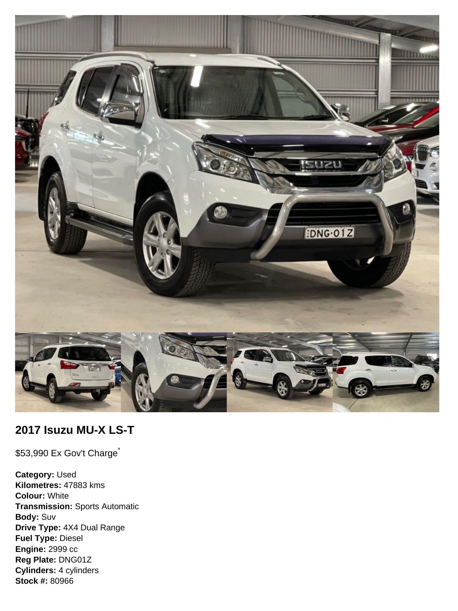

# **2017 Isuzu MU-X LS-T**

\$53,990 Ex Gov't Charge<sup>\*</sup>

**Category:** Used **Kilometres:** 47883 kms **Colour:** White **Transmission:** Sports Automatic **Body:** Suv **Drive Type:** 4X4 Dual Range **Fuel Type:** Diesel **Engine:** 2999 cc **Reg Plate:** DNG01Z **Cylinders:** 4 cylinders **Stock #:** 80966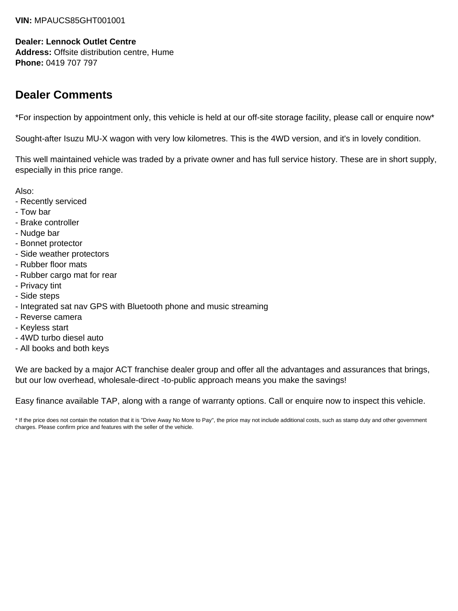#### **VIN:** MPAUCS85GHT001001

#### **Dealer: Lennock Outlet Centre**

**Address:** Offsite distribution centre, Hume **Phone:** 0419 707 797

# **Dealer Comments**

\*For inspection by appointment only, this vehicle is held at our off-site storage facility, please call or enquire now\*

Sought-after Isuzu MU-X wagon with very low kilometres. This is the 4WD version, and it's in lovely condition.

This well maintained vehicle was traded by a private owner and has full service history. These are in short supply, especially in this price range.

Also:

- Recently serviced
- Tow bar
- Brake controller
- Nudge bar
- Bonnet protector
- Side weather protectors
- Rubber floor mats
- Rubber cargo mat for rear
- Privacy tint
- Side steps
- Integrated sat nav GPS with Bluetooth phone and music streaming
- Reverse camera
- Keyless start
- 4WD turbo diesel auto
- All books and both keys

We are backed by a major ACT franchise dealer group and offer all the advantages and assurances that brings, but our low overhead, wholesale-direct -to-public approach means you make the savings!

Easy finance available TAP, along with a range of warranty options. Call or enquire now to inspect this vehicle.

\* If the price does not contain the notation that it is "Drive Away No More to Pay", the price may not include additional costs, such as stamp duty and other government charges. Please confirm price and features with the seller of the vehicle.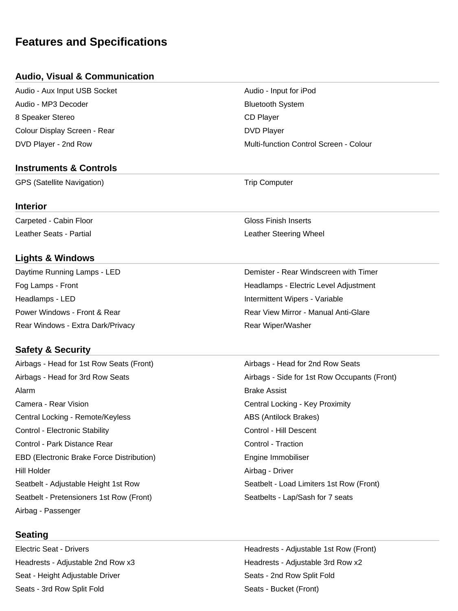# **Features and Specifications**

## **Audio, Visual & Communication**

Audio - Aux Input USB Socket Audio - Input for iPod Audio - MP3 Decoder Bluetooth System 8 Speaker Stereo **CD** Player Colour Display Screen - Rear DVD Player

#### **Instruments & Controls**

GPS (Satellite Navigation) and the Computer of Trip Computer

#### **Interior**

Carpeted - Cabin Floor Gloss Finish Inserts Leather Seats - Partial Leather Steering Wheel

# **Lights & Windows**

Headlamps - LED **Intermittent Wipers - Variable** Rear Windows - Extra Dark/Privacy **Rear Windows** - Extra Dark/Privacy

# **Safety & Security**

Airbags - Head for 1st Row Seats (Front) Airbags - Head for 2nd Row Seats Alarm Brake Assist Camera - Rear Vision **Camera - Rear Vision** Central Locking - Key Proximity Central Locking - Remote/Keyless ABS (Antilock Brakes) Control - Electronic Stability **Control - Electronic Stability** Control - Hill Descent Control - Park Distance Rear Control - Traction Control - Traction EBD (Electronic Brake Force Distribution) The Engine Immobiliser Hill Holder Airbag - Driver Seatbelt - Adjustable Height 1st Row Seatbelt - Load Limiters 1st Row (Front) Seatbelt - Pretensioners 1st Row (Front) Seatbelts - Lap/Sash for 7 seats Airbag - Passenger

# **Seating**

Seat - Height Adjustable Driver Seats - 2nd Row Split Fold Seats - 3rd Row Split Fold Seats - Bucket (Front)

DVD Player - 2nd Row Multi-function Control Screen - Colour

Daytime Running Lamps - LED **Demister - Rear Windscreen with Timer** Fog Lamps - Front Headlamps - Electric Level Adjustment Power Windows - Front & Rear Rear View Mirror - Manual Anti-Glare

Airbags - Head for 3rd Row Seats Airbags - Side for 1st Row Occupants (Front)

Electric Seat - Drivers Headrests - Adjustable 1st Row (Front) Headrests - Adjustable 2nd Row x3 https://www.mateural.com/headrests - Adjustable 3rd Row x2